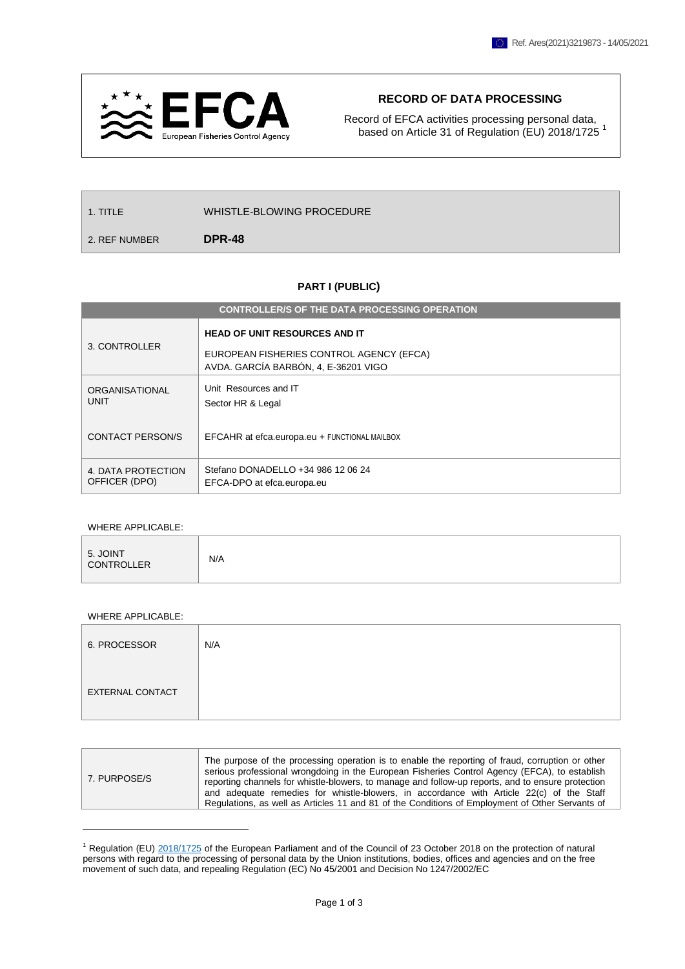

## **RECORD OF DATA PROCESSING**

Record of EFCA activities processing personal data, based on Article 31 of Regulation (EU) 2018/1725<sup>1</sup>

| 1. TITLE      | WHISTLE-BLOWING PROCEDURE |
|---------------|---------------------------|
| 2. REF NUMBER | <b>DPR-48</b>             |

## **PART I (PUBLIC)**

| <b>CONTROLLER/S OF THE DATA PROCESSING OPERATION</b> |                                                                                                                          |  |
|------------------------------------------------------|--------------------------------------------------------------------------------------------------------------------------|--|
| 3. CONTROLLER                                        | <b>HEAD OF UNIT RESOURCES AND IT</b><br>EUROPEAN FISHERIES CONTROL AGENCY (EFCA)<br>AVDA. GARCÍA BARBÓN, 4, E-36201 VIGO |  |
| ORGANISATIONAL<br><b>UNIT</b>                        | Unit Resources and IT<br>Sector HR & Legal                                                                               |  |
| <b>CONTACT PERSON/S</b>                              | EFCAHR at efca.europa.eu + FUNCTIONAL MAILBOX                                                                            |  |
| 4. DATA PROTECTION<br>OFFICER (DPO)                  | Stefano DONADELLO +34 986 12 06 24<br>EFCA-DPO at efca.europa.eu                                                         |  |

## WHERE APPLICABLE:

| 5. JOINT<br><b>CONTROLLER</b> | N/A |
|-------------------------------|-----|
|                               |     |

## WHERE APPLICABLE:

 $\overline{a}$ 

| 6. PROCESSOR            | N/A |
|-------------------------|-----|
| <b>EXTERNAL CONTACT</b> |     |

| The purpose of the processing operation is to enable the reporting of fraud, corruption or other<br>serious professional wrongdoing in the European Fisheries Control Agency (EFCA), to establish<br>7. PURPOSE/S<br>reporting channels for whistle-blowers, to manage and follow-up reports, and to ensure protection<br>and adequate remedies for whistle-blowers, in accordance with Article 22(c) of the Staff<br>Regulations, as well as Articles 11 and 81 of the Conditions of Employment of Other Servants of |
|-----------------------------------------------------------------------------------------------------------------------------------------------------------------------------------------------------------------------------------------------------------------------------------------------------------------------------------------------------------------------------------------------------------------------------------------------------------------------------------------------------------------------|
|                                                                                                                                                                                                                                                                                                                                                                                                                                                                                                                       |

 $1$  Regulation (EU)  $2018/1725$  of the European Parliament and of the Council of 23 October 2018 on the protection of natural persons with regard to the processing of personal data by the Union institutions, bodies, offices and agencies and on the free movement of such data, and repealing Regulation (EC) No 45/2001 and Decision No 1247/2002/EC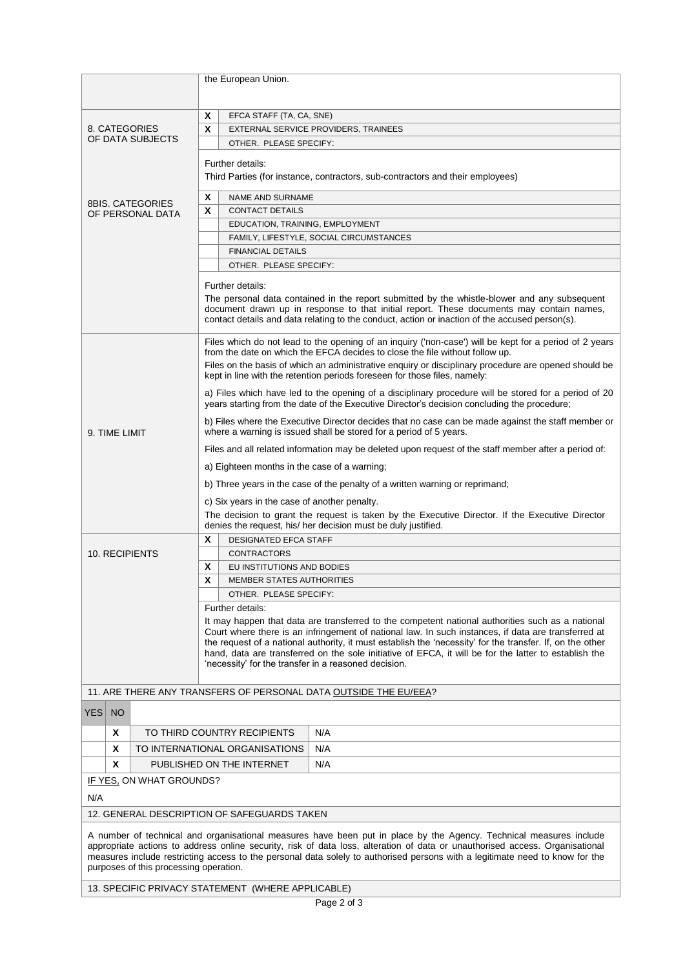|                                                                                                                                                                                                                                                                                                                                                                                    |                         | the European Union.                                                                                                                                                                                     |  |
|------------------------------------------------------------------------------------------------------------------------------------------------------------------------------------------------------------------------------------------------------------------------------------------------------------------------------------------------------------------------------------|-------------------------|---------------------------------------------------------------------------------------------------------------------------------------------------------------------------------------------------------|--|
|                                                                                                                                                                                                                                                                                                                                                                                    |                         |                                                                                                                                                                                                         |  |
|                                                                                                                                                                                                                                                                                                                                                                                    |                         | Χ<br>EFCA STAFF (TA, CA, SNE)                                                                                                                                                                           |  |
|                                                                                                                                                                                                                                                                                                                                                                                    | 8. CATEGORIES           | X<br>EXTERNAL SERVICE PROVIDERS, TRAINEES                                                                                                                                                               |  |
|                                                                                                                                                                                                                                                                                                                                                                                    | OF DATA SUBJECTS        | OTHER. PLEASE SPECIFY:                                                                                                                                                                                  |  |
|                                                                                                                                                                                                                                                                                                                                                                                    |                         | Further details:                                                                                                                                                                                        |  |
|                                                                                                                                                                                                                                                                                                                                                                                    |                         | Third Parties (for instance, contractors, sub-contractors and their employees)                                                                                                                          |  |
|                                                                                                                                                                                                                                                                                                                                                                                    |                         | X<br><b>NAME AND SURNAME</b>                                                                                                                                                                            |  |
|                                                                                                                                                                                                                                                                                                                                                                                    | <b>8BIS, CATEGORIES</b> | X<br><b>CONTACT DETAILS</b>                                                                                                                                                                             |  |
|                                                                                                                                                                                                                                                                                                                                                                                    | OF PERSONAL DATA        | EDUCATION, TRAINING, EMPLOYMENT                                                                                                                                                                         |  |
|                                                                                                                                                                                                                                                                                                                                                                                    |                         | FAMILY, LIFESTYLE, SOCIAL CIRCUMSTANCES                                                                                                                                                                 |  |
|                                                                                                                                                                                                                                                                                                                                                                                    |                         | <b>FINANCIAL DETAILS</b>                                                                                                                                                                                |  |
|                                                                                                                                                                                                                                                                                                                                                                                    |                         | OTHER. PLEASE SPECIFY:                                                                                                                                                                                  |  |
|                                                                                                                                                                                                                                                                                                                                                                                    |                         |                                                                                                                                                                                                         |  |
|                                                                                                                                                                                                                                                                                                                                                                                    |                         | Further details:<br>The personal data contained in the report submitted by the whistle-blower and any subsequent                                                                                        |  |
|                                                                                                                                                                                                                                                                                                                                                                                    |                         | document drawn up in response to that initial report. These documents may contain names,<br>contact details and data relating to the conduct, action or inaction of the accused person(s).              |  |
|                                                                                                                                                                                                                                                                                                                                                                                    |                         |                                                                                                                                                                                                         |  |
|                                                                                                                                                                                                                                                                                                                                                                                    |                         | Files which do not lead to the opening of an inquiry ('non-case') will be kept for a period of 2 years<br>from the date on which the EFCA decides to close the file without follow up.                  |  |
|                                                                                                                                                                                                                                                                                                                                                                                    |                         | Files on the basis of which an administrative enguiry or disciplinary procedure are opened should be<br>kept in line with the retention periods foreseen for those files, namely:                       |  |
|                                                                                                                                                                                                                                                                                                                                                                                    |                         | a) Files which have led to the opening of a disciplinary procedure will be stored for a period of 20<br>years starting from the date of the Executive Director's decision concluding the procedure;     |  |
| 9. TIME LIMIT                                                                                                                                                                                                                                                                                                                                                                      |                         | b) Files where the Executive Director decides that no case can be made against the staff member or<br>where a warning is issued shall be stored for a period of 5 years.                                |  |
|                                                                                                                                                                                                                                                                                                                                                                                    |                         | Files and all related information may be deleted upon request of the staff member after a period of:                                                                                                    |  |
|                                                                                                                                                                                                                                                                                                                                                                                    |                         | a) Eighteen months in the case of a warning;                                                                                                                                                            |  |
|                                                                                                                                                                                                                                                                                                                                                                                    |                         | b) Three years in the case of the penalty of a written warning or reprimand;                                                                                                                            |  |
|                                                                                                                                                                                                                                                                                                                                                                                    |                         |                                                                                                                                                                                                         |  |
|                                                                                                                                                                                                                                                                                                                                                                                    |                         | c) Six years in the case of another penalty.<br>The decision to grant the request is taken by the Executive Director. If the Executive Director                                                         |  |
|                                                                                                                                                                                                                                                                                                                                                                                    |                         | denies the request, his/ her decision must be duly justified.                                                                                                                                           |  |
|                                                                                                                                                                                                                                                                                                                                                                                    |                         | X<br><b>DESIGNATED EFCA STAFF</b>                                                                                                                                                                       |  |
|                                                                                                                                                                                                                                                                                                                                                                                    | 10. RECIPIENTS          | <b>CONTRACTORS</b>                                                                                                                                                                                      |  |
|                                                                                                                                                                                                                                                                                                                                                                                    |                         | X<br>EU INSTITUTIONS AND BODIES                                                                                                                                                                         |  |
|                                                                                                                                                                                                                                                                                                                                                                                    |                         | X<br><b>MEMBER STATES AUTHORITIES</b>                                                                                                                                                                   |  |
|                                                                                                                                                                                                                                                                                                                                                                                    |                         | OTHER. PLEASE SPECIFY:                                                                                                                                                                                  |  |
|                                                                                                                                                                                                                                                                                                                                                                                    |                         | Further details:                                                                                                                                                                                        |  |
|                                                                                                                                                                                                                                                                                                                                                                                    |                         | It may happen that data are transferred to the competent national authorities such as a national<br>Court where there is an infringement of national law. In such instances, if data are transferred at |  |
|                                                                                                                                                                                                                                                                                                                                                                                    |                         | the request of a national authority, it must establish the 'necessity' for the transfer. If, on the other                                                                                               |  |
|                                                                                                                                                                                                                                                                                                                                                                                    |                         | hand, data are transferred on the sole initiative of EFCA, it will be for the latter to establish the                                                                                                   |  |
|                                                                                                                                                                                                                                                                                                                                                                                    |                         | 'necessity' for the transfer in a reasoned decision.                                                                                                                                                    |  |
|                                                                                                                                                                                                                                                                                                                                                                                    |                         | 11. ARE THERE ANY TRANSFERS OF PERSONAL DATA OUTSIDE THE EU/EEA?                                                                                                                                        |  |
| <b>YES</b><br><b>NO</b>                                                                                                                                                                                                                                                                                                                                                            |                         |                                                                                                                                                                                                         |  |
| X                                                                                                                                                                                                                                                                                                                                                                                  |                         | TO THIRD COUNTRY RECIPIENTS<br>N/A                                                                                                                                                                      |  |
| X                                                                                                                                                                                                                                                                                                                                                                                  |                         | TO INTERNATIONAL ORGANISATIONS<br>N/A                                                                                                                                                                   |  |
|                                                                                                                                                                                                                                                                                                                                                                                    |                         | N/A                                                                                                                                                                                                     |  |
| X<br>PUBLISHED ON THE INTERNET                                                                                                                                                                                                                                                                                                                                                     |                         |                                                                                                                                                                                                         |  |
| IF YES, ON WHAT GROUNDS?                                                                                                                                                                                                                                                                                                                                                           |                         |                                                                                                                                                                                                         |  |
| N/A                                                                                                                                                                                                                                                                                                                                                                                |                         |                                                                                                                                                                                                         |  |
| 12. GENERAL DESCRIPTION OF SAFEGUARDS TAKEN                                                                                                                                                                                                                                                                                                                                        |                         |                                                                                                                                                                                                         |  |
| A number of technical and organisational measures have been put in place by the Agency. Technical measures include<br>appropriate actions to address online security, risk of data loss, alteration of data or unauthorised access. Organisational<br>measures include restricting access to the personal data solely to authorised persons with a legitimate need to know for the |                         |                                                                                                                                                                                                         |  |
| purposes of this processing operation.                                                                                                                                                                                                                                                                                                                                             |                         |                                                                                                                                                                                                         |  |

13. SPECIFIC PRIVACY STATEMENT (WHERE APPLICABLE)